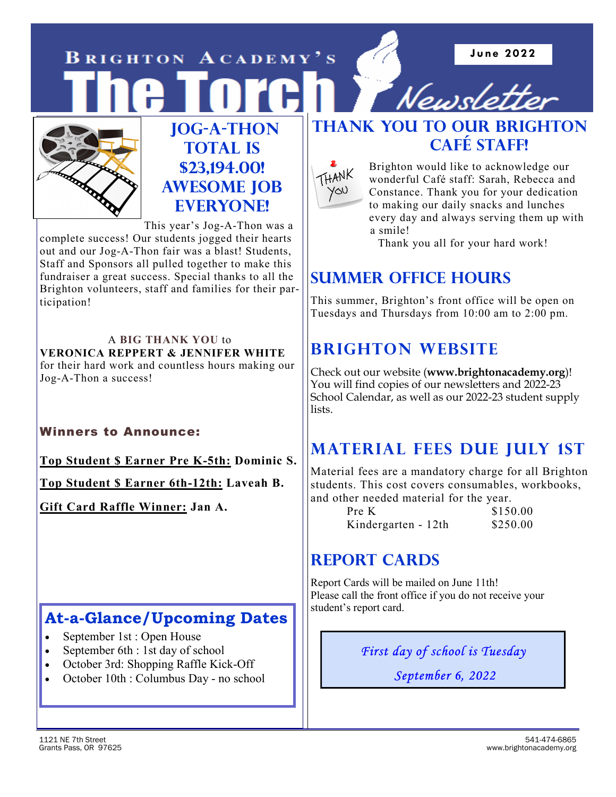**J une 2022** 

**BRIGHTON ACADEMY'S** 



### **Jog-a-Thon TOTAL IS \$23,194.00! Awesome Job Everyone!**

This year's Jog-A-Thon was a complete success! Our students jogged their hearts out and our Jog-A-Thon fair was a blast! Students, Staff and Sponsors all pulled together to make this fundraiser a great success. Special thanks to all the Brighton volunteers, staff and families for their participation!

A **BIG THANK YOU** to **VERONICA REPPERT & JENNIFER WHITE**  for their hard work and countless hours making our Jog-A-Thon a success!

### Winners to Announce:

**Top Student \$ Earner Pre K-5th: Dominic S.**

**Top Student \$ Earner 6th-12th: Laveah B.**

**Gift Card Raffle Winner: Jan A.** 

## **At-a-Glance/Upcoming Dates**

- September 1st : Open House
- September 6th : 1st day of school
- October 3rd: Shopping Raffle Kick-Off
- October 10th : Columbus Day no school

## **THANK YOU TO OUR BRIGHTON CAFÉ STAFF!**

Newsl



Brighton would like to acknowledge our wonderful Café staff: Sarah, Rebecca and Constance. Thank you for your dedication to making our daily snacks and lunches every day and always serving them up with a smile!

Thank you all for your hard work!

## **Summer Office Hours**

This summer, Brighton's front office will be open on Tuesdays and Thursdays from 10:00 am to 2:00 pm.

## **Brighton Website**

Check out our website (**www.brightonacademy.org**)! You will find copies of our newsletters and 2022-23 School Calendar, as well as our 2022-23 student supply lists.

## **Material Fees due July 1st**

Material fees are a mandatory charge for all Brighton students. This cost covers consumables, workbooks, and other needed material for the year.

| Pre K               | \$150.00 |
|---------------------|----------|
| Kindergarten - 12th | \$250.00 |

## **REPORT CARDS**

Report Cards will be mailed on June 11th! Please call the front office if you do not receive your student's report card.

*First day of school is Tuesday* 

 *September 6, 2022*